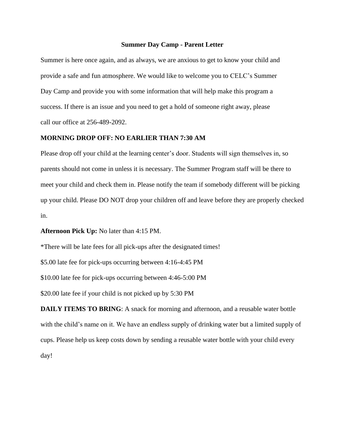## **Summer Day Camp - Parent Letter**

Summer is here once again, and as always, we are anxious to get to know your child and provide a safe and fun atmosphere. We would like to welcome you to CELC's Summer Day Camp and provide you with some information that will help make this program a success. If there is an issue and you need to get a hold of someone right away, please call our office at 256-489-2092.

## **MORNING DROP OFF: NO EARLIER THAN 7:30 AM**

Please drop off your child at the learning center's door. Students will sign themselves in, so parents should not come in unless it is necessary. The Summer Program staff will be there to meet your child and check them in. Please notify the team if somebody different will be picking up your child. Please DO NOT drop your children off and leave before they are properly checked in.

**Afternoon Pick Up:** No later than 4:15 PM.

\*There will be late fees for all pick-ups after the designated times!

\$5.00 late fee for pick-ups occurring between 4:16-4:45 PM

\$10.00 late fee for pick-ups occurring between 4:46-5:00 PM

\$20.00 late fee if your child is not picked up by 5:30 PM

**DAILY ITEMS TO BRING**: A snack for morning and afternoon, and a reusable water bottle with the child's name on it. We have an endless supply of drinking water but a limited supply of cups. Please help us keep costs down by sending a reusable water bottle with your child every day!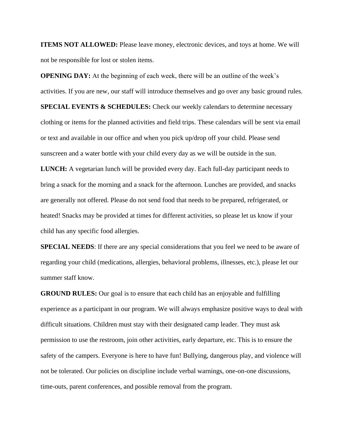**ITEMS NOT ALLOWED:** Please leave money, electronic devices, and toys at home. We will not be responsible for lost or stolen items.

**OPENING DAY:** At the beginning of each week, there will be an outline of the week's activities. If you are new, our staff will introduce themselves and go over any basic ground rules. **SPECIAL EVENTS & SCHEDULES:** Check our weekly calendars to determine necessary clothing or items for the planned activities and field trips. These calendars will be sent via email or text and available in our office and when you pick up/drop off your child. Please send sunscreen and a water bottle with your child every day as we will be outside in the sun. **LUNCH:** A vegetarian lunch will be provided every day. Each full-day participant needs to bring a snack for the morning and a snack for the afternoon. Lunches are provided, and snacks are generally not offered. Please do not send food that needs to be prepared, refrigerated, or heated! Snacks may be provided at times for different activities, so please let us know if your child has any specific food allergies.

**SPECIAL NEEDS**: If there are any special considerations that you feel we need to be aware of regarding your child (medications, allergies, behavioral problems, illnesses, etc.), please let our summer staff know.

**GROUND RULES:** Our goal is to ensure that each child has an enjoyable and fulfilling experience as a participant in our program. We will always emphasize positive ways to deal with difficult situations. Children must stay with their designated camp leader. They must ask permission to use the restroom, join other activities, early departure, etc. This is to ensure the safety of the campers. Everyone is here to have fun! Bullying, dangerous play, and violence will not be tolerated. Our policies on discipline include verbal warnings, one-on-one discussions, time-outs, parent conferences, and possible removal from the program.